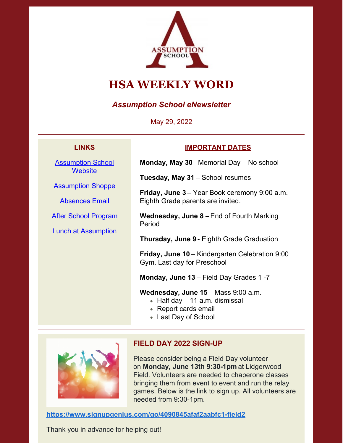

# **HSA WEEKLY WORD**

### *Assumption School eNewsletter*

May 29, 2022

#### **LINKS**

[Assumption](https://www.assumptionnj.org/) School **[Website](https://www.assumptionnj.org/)** 

[Assumption](https://assumptionschool.itemorder.com/sale) Shoppe

[Absences](mailto:attendance@assumptionnj.org) Email

After School [Program](https://www.assumptionnj.org/wp-content/uploads/2021/08/After-School-General-Information-website-1.pdf)

Lunch at [Assumption](https://files.constantcontact.com/ba10653a001/6add9be7-c6d9-4c06-b2f3-de0de4d62a3f.pdf?rdr=true)

#### **IMPORTANT DATES**

**Monday, May 30** –Memorial Day – No school

**Tuesday, May 31** – School resumes

**Friday, June 3** – Year Book ceremony 9:00 a.m. Eighth Grade parents are invited.

**Wednesday, June 8 –**End of Fourth Marking Period

**Thursday, June 9** - Eighth Grade Graduation

**Friday, June 10** – Kindergarten Celebration 9:00 Gym. Last day for Preschool

**Monday, June 13** – Field Day Grades 1 -7

**Wednesday, June 15** – Mass 9:00 a.m.

- $\bullet$  Half day  $-11$  a.m. dismissal
- Report cards email
- Last Day of School



#### **FIELD DAY 2022 SIGN-UP**

Please consider being a Field Day volunteer on **Monday, June 13th 9:30-1pm** at Lidgerwood Field. Volunteers are needed to chaperone classes bringing them from event to event and run the relay games. Below is the link to sign up. All volunteers are needed from 9:30-1pm.

**<https://www.signupgenius.com/go/4090845afaf2aabfc1-field2>**

Thank you in advance for helping out!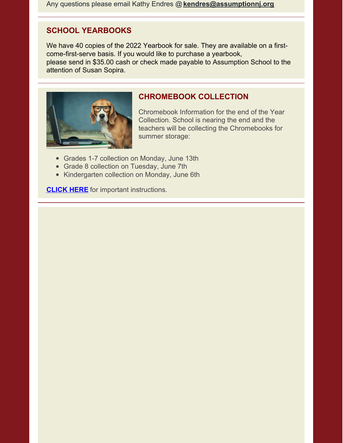Any questions please email Kathy Endres @**[kendres@assumptionnj.org](mailto:kendres@assumptionnj.org)**

### **SCHOOL YEARBOOKS**

We have 40 copies of the 2022 Yearbook for sale. They are available on a firstcome-first-serve basis. If you would like to purchase a yearbook, please send in \$35.00 cash or check made payable to Assumption School to the attention of Susan Sopira.



### **CHROMEBOOK COLLECTION**

Chromebook Information for the end of the Year Collection. School is nearing the end and the teachers will be collecting the Chromebooks for summer storage:

- Grades 1-7 collection on Monday, June 13th
- Grade 8 collection on Tuesday, June 7th
- Kindergarten collection on Monday, June 6th

**[CLICK](https://www.assumptionnj.org/wp-content/uploads/2022/05/End-of-Year-Chromebook-Information.pdf) HERE** for important instructions.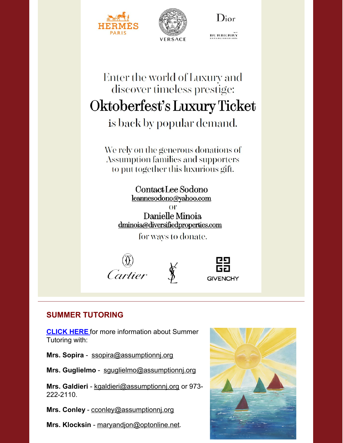

### **SUMMER TUTORING**

**[CLICK](https://www.assumptionnj.org/wp-content/uploads/2022/05/SUMMER-TUTORING-2022.pdf) HERE** for more information about Summer Tutoring with:

**Mrs. Sopira** - [ssopira@assumptionnj.org](mailto:ssopira@assumptionnj.org)

**Mrs. Guglielmo** - [sguglielmo@assumptionnj.org](mailto:sguglielmo@assumptionnj.org)

**Mrs. Galdieri** - [kgaldieri@assumptionnj.org](mailto:kgaldieri@assumptionnj.org) or 973- 222-2110.

**Mrs. Conley** - [cconley@assumptionnj.org](mailto:cconley@assumptionnj.org)

**Mrs. Klocksin** - [maryandjon@optonline.net](mailto:maryandjon@optonline.net).

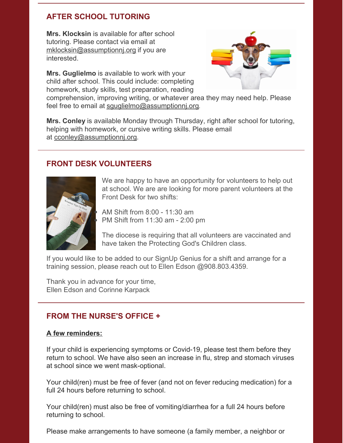# **AFTER SCHOOL TUTORING**

**Mrs. Klocksin** is available for after school tutoring. Please contact via email at [mklocksin@assumptionnj.org](mailto:mklocksin@assumptionnj.org) if you are interested.

**Mrs. Guglielmo** is available to work with your child after school. This could include: completing homework, study skills, test preparation, reading



comprehension, improving writing, or whatever area they may need help. Please feel free to email at [sguglielmo@assumptionnj.org](mailto:sguglielmo@assumptionnj.org).

**Mrs. Conley** is available Monday through Thursday, right after school for tutoring, helping with homework, or cursive writing skills. Please email at [cconley@assumptionnj.org](mailto:cconley@assumptionnj.org).

## **FRONT DESK VOLUNTEERS**



We are happy to have an opportunity for volunteers to help out at school. We are are looking for more parent volunteers at the Front Desk for two shifts:

AM Shift from 8:00 - 11:30 am PM Shift from 11:30 am - 2:00 pm

The diocese is requiring that all volunteers are vaccinated and have taken the Protecting God's Children class.

If you would like to be added to our SignUp Genius for a shift and arrange for a training session, please reach out to Ellen Edson @908.803.4359.

Thank you in advance for your time, Ellen Edson and Corinne Karpack

# **FROM THE NURSE'S OFFICE +**

#### **A few reminders:**

If your child is experiencing symptoms or Covid-19, please test them before they return to school. We have also seen an increase in flu, strep and stomach viruses at school since we went mask-optional.

Your child(ren) must be free of fever (and not on fever reducing medication) for a full 24 hours before returning to school.

Your child(ren) must also be free of vomiting/diarrhea for a full 24 hours before returning to school.

Please make arrangements to have someone (a family member, a neighbor or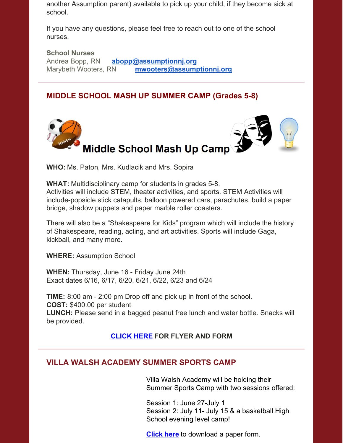another Assumption parent) available to pick up your child, if they become sick at school.

If you have any questions, please feel free to reach out to one of the school nurses.

**School Nurses** Andrea Bopp, RN **[abopp@assumptionnj.org](mailto:abopp@assumptionnj.org)** Marybeth Wooters, RN **[mwooters@assumptionnj.org](mailto:mwooters@assumptionnj.org)**

# **MIDDLE SCHOOL MASH UP SUMMER CAMP (Grades 5-8)**



**WHO:** Ms. Paton, Mrs. Kudlacik and Mrs. Sopira

**WHAT:** Multidisciplinary camp for students in grades 5-8. Activities will include STEM, theater activities, and sports. STEM Activities will

include-popsicle stick catapults, balloon powered cars, parachutes, build a paper bridge, shadow puppets and paper marble roller coasters.

There will also be a "Shakespeare for Kids" program which will include the history of Shakespeare, reading, acting, and art activities. Sports will include Gaga, kickball, and many more.

**WHERE:** Assumption School

**WHEN:** Thursday, June 16 - Friday June 24th Exact dates 6/16, 6/17, 6/20, 6/21, 6/22, 6/23 and 6/24

**TIME:** 8:00 am - 2:00 pm Drop off and pick up in front of the school. **COST:** \$400.00 per student **LUNCH:** Please send in a bagged peanut free lunch and water bottle. Snacks will be provided.

### **[CLICK](https://www.assumptionnj.org/wp-content/uploads/2022/03/Middle-School-Mash-Up-Camp.pdf) HERE FOR FLYER AND FORM**

# **VILLA WALSH ACADEMY SUMMER SPORTS CAMP**

Villa Walsh Academy will be holding their Summer Sports Camp with two sessions offered:

Session 1: June 27-July 1 Session 2: July 11- July 15 & a basketball High School evening level camp!

**[Click](https://www.assumptionnj.org/wp-content/uploads/2022/01/Villa-Walsh-form-2022.pdf) here** to download a paper form.